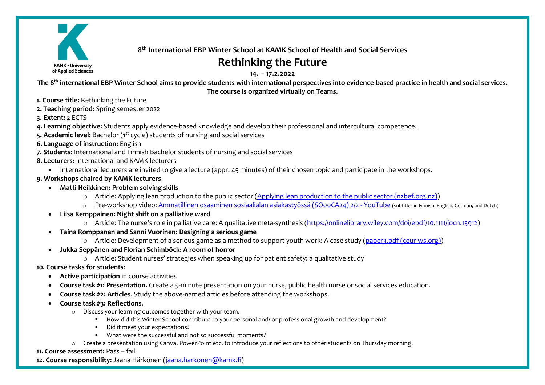

**8 th International EBP Winter School at KAMK School of Health and Social Services**

# **Rethinking the Future**

**14. – 17.2.2022**

**The 8th international EBP Winter School aims to provide students with international perspectives into evidence-based practice in health and social services. The course is organized virtually on Teams.**

- **1. Course title:** Rethinking the Future
- **2. Teaching period:** Spring semester 2022
- **3. Extent:** 2 ECTS
- **4. Learning objective:** Students apply evidence-based knowledge and develop their professional and intercultural competence.
- 5. Academic level: Bachelor (1<sup>st</sup> cycle) students of nursing and social services

## **6. Language of instruction:** English

- **7. Students:** International and Finnish Bachelor students of nursing and social services
- **8. Lecturers:** International and KAMK lecturers
	- International lecturers are invited to give a lecture (appr. 45 minutes) of their chosen topic and participate in the workshops.
- **9. Workshops chaired by KAMK lecturers**
	- **Matti Heikkinen: Problem-solving skills**
		- o Article: Applying lean production to the public sector [\(Applying lean production to the public sector \(nzbef.org.nz\)\)](https://nzbef.org.nz/wp-content/uploads/2019/05/Article-Applying-Lean-Production-to-the-Public-Sector.pdf)
		- o Pre-workshop video: [Ammatillinen osaaminen sosiaalialan asiakastyössä \(SO00CA24\) 2/2 -](https://www.youtube.com/watch?v=6JaXGQrUPqc) YouTube (subtitles in Finnish, English, German, and Dutch)
	- **Liisa Kemppainen: Night shift on a palliative ward**
		- o Article: The nurse's role in palliative care: A qualitative meta-synthesis [\(https://onlinelibrary.wiley.com/doi/epdf/10.1111/jocn.13912\)](https://onlinelibrary.wiley.com/doi/epdf/10.1111/jocn.13912)
	- **Taina Romppanen and Sanni Vuorinen: Designing a serious game** 
		- o Article: Development of a serious game as a method to support youth work: A case study [\(paper3.pdf \(ceur-ws.org\)\)](http://ceur-ws.org/Vol-2359/paper3.pdf)
	- **Jukka Seppänen and Florian Schimböck: A room of horror** 
		- o Article: Student nurses' strategies when speaking up for patient safety: a qualitative study

## **10. Course tasks for students**:

- **Active participation** in course activities
- **Course task #1: Presentation.** Create a 5-minute presentation on your nurse, public health nurse or social services education.
- **Course task #2: Articles**. Study the above-named articles before attending the workshops.
- **Course task #3: Reflections**.
	- o Discuss your learning outcomes together with your team.
		- How did this Winter School contribute to your personal and/ or professional growth and development?
		- Did it meet your expectations?
		- What were the successful and not so successful moments?
	- o Create a presentation using Canva, PowerPoint etc. to introduce your reflections to other students on Thursday morning.

## **11. Course assessment:** Pass – fail

**12. Course responsibility:** Jaana Härkönen [\(jaana.harkonen@kamk.fi\)](mailto:jaana.harkonen@kamk.fi)